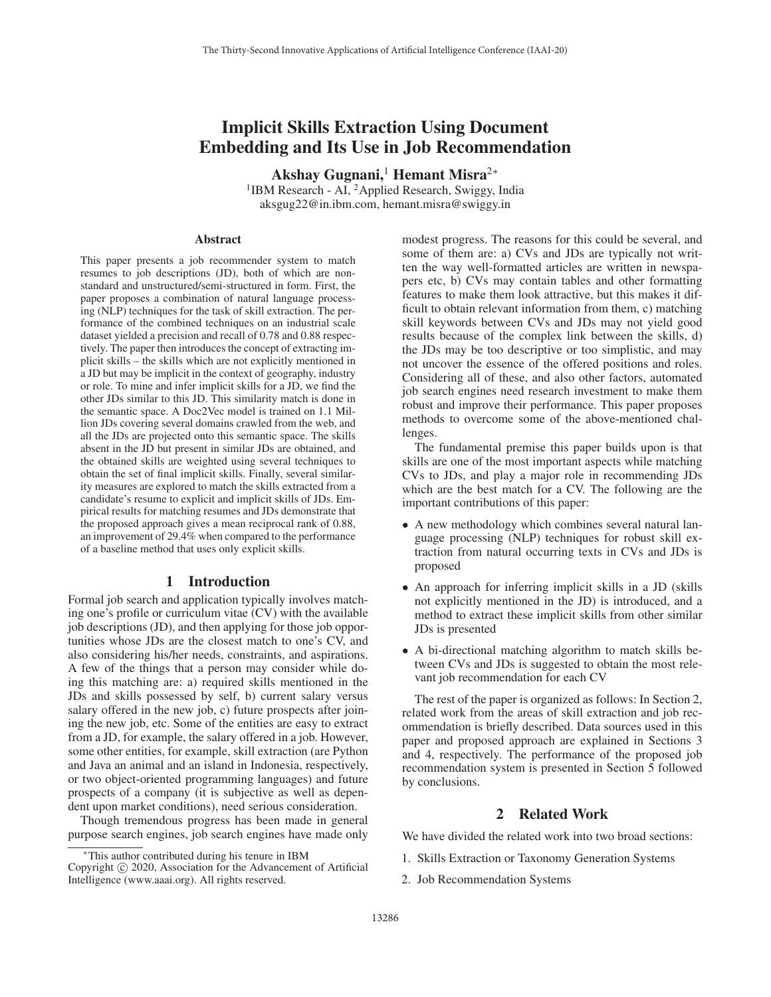# Implicit Skills Extraction Using Document Embedding and Its Use in Job Recommendation

Akshay Gugnani,<sup>1</sup> Hemant Misra<sup>2</sup><sup>∗</sup> <sup>1</sup>IBM Research - AI, <sup>2</sup>Applied Research, Swiggy, India aksgug22@in.ibm.com, hemant.misra@swiggy.in

#### Abstract

This paper presents a job recommender system to match resumes to job descriptions (JD), both of which are nonstandard and unstructured/semi-structured in form. First, the paper proposes a combination of natural language processing (NLP) techniques for the task of skill extraction. The performance of the combined techniques on an industrial scale dataset yielded a precision and recall of 0.78 and 0.88 respectively. The paper then introduces the concept of extracting implicit skills – the skills which are not explicitly mentioned in a JD but may be implicit in the context of geography, industry or role. To mine and infer implicit skills for a JD, we find the other JDs similar to this JD. This similarity match is done in the semantic space. A Doc2Vec model is trained on 1.1 Million JDs covering several domains crawled from the web, and all the JDs are projected onto this semantic space. The skills absent in the JD but present in similar JDs are obtained, and the obtained skills are weighted using several techniques to obtain the set of final implicit skills. Finally, several similarity measures are explored to match the skills extracted from a candidate's resume to explicit and implicit skills of JDs. Empirical results for matching resumes and JDs demonstrate that the proposed approach gives a mean reciprocal rank of 0.88, an improvement of 29.4% when compared to the performance of a baseline method that uses only explicit skills.

### 1 Introduction

Formal job search and application typically involves matching one's profile or curriculum vitae (CV) with the available job descriptions (JD), and then applying for those job opportunities whose JDs are the closest match to one's CV, and also considering his/her needs, constraints, and aspirations. A few of the things that a person may consider while doing this matching are: a) required skills mentioned in the JDs and skills possessed by self, b) current salary versus salary offered in the new job, c) future prospects after joining the new job, etc. Some of the entities are easy to extract from a JD, for example, the salary offered in a job. However, some other entities, for example, skill extraction (are Python and Java an animal and an island in Indonesia, respectively, or two object-oriented programming languages) and future prospects of a company (it is subjective as well as dependent upon market conditions), need serious consideration.

Though tremendous progress has been made in general purpose search engines, job search engines have made only modest progress. The reasons for this could be several, and some of them are: a) CVs and JDs are typically not written the way well-formatted articles are written in newspapers etc, b) CVs may contain tables and other formatting features to make them look attractive, but this makes it difficult to obtain relevant information from them, c) matching skill keywords between CVs and JDs may not yield good results because of the complex link between the skills, d) the JDs may be too descriptive or too simplistic, and may not uncover the essence of the offered positions and roles. Considering all of these, and also other factors, automated job search engines need research investment to make them robust and improve their performance. This paper proposes methods to overcome some of the above-mentioned challenges.

The fundamental premise this paper builds upon is that skills are one of the most important aspects while matching CVs to JDs, and play a major role in recommending JDs which are the best match for a CV. The following are the important contributions of this paper:

- A new methodology which combines several natural language processing (NLP) techniques for robust skill extraction from natural occurring texts in CVs and JDs is proposed
- An approach for inferring implicit skills in a JD (skills not explicitly mentioned in the JD) is introduced, and a method to extract these implicit skills from other similar JDs is presented
- A bi-directional matching algorithm to match skills between CVs and JDs is suggested to obtain the most relevant job recommendation for each CV

The rest of the paper is organized as follows: In Section 2, related work from the areas of skill extraction and job recommendation is briefly described. Data sources used in this paper and proposed approach are explained in Sections 3 and 4, respectively. The performance of the proposed job recommendation system is presented in Section 5 followed by conclusions.

### 2 Related Work

We have divided the related work into two broad sections:

- 1. Skills Extraction or Taxonomy Generation Systems
- 2. Job Recommendation Systems

<sup>∗</sup>This author contributed during his tenure in IBM

Copyright  $\odot$  2020, Association for the Advancement of Artificial Intelligence (www.aaai.org). All rights reserved.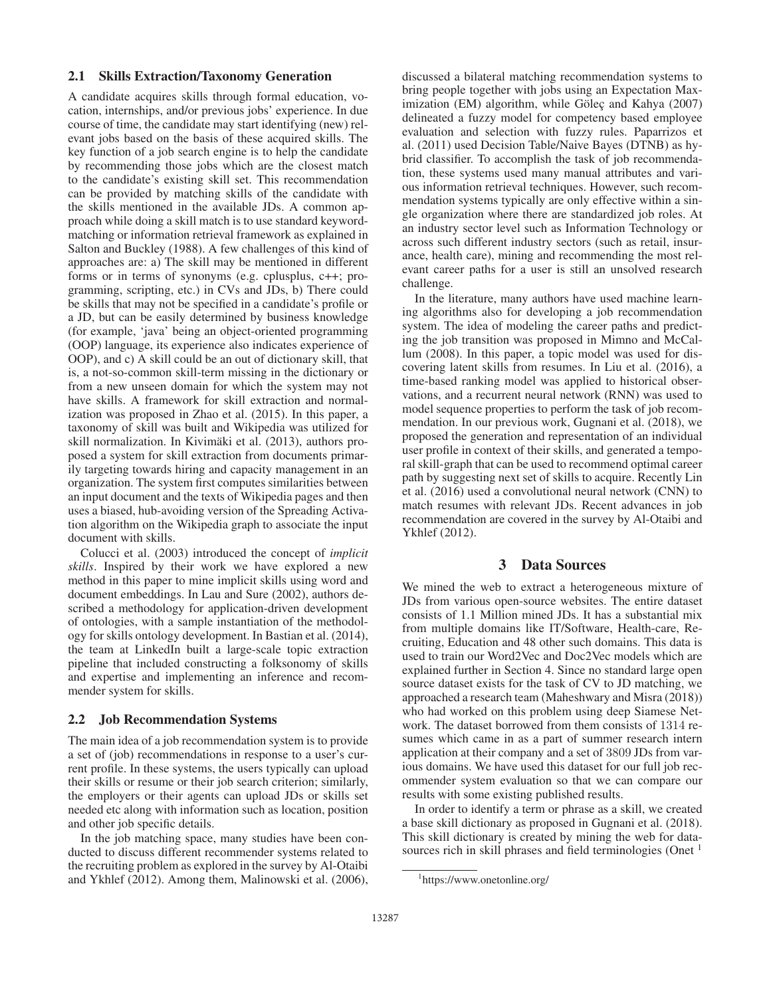#### 2.1 Skills Extraction/Taxonomy Generation

A candidate acquires skills through formal education, vocation, internships, and/or previous jobs' experience. In due course of time, the candidate may start identifying (new) relevant jobs based on the basis of these acquired skills. The key function of a job search engine is to help the candidate by recommending those jobs which are the closest match to the candidate's existing skill set. This recommendation can be provided by matching skills of the candidate with the skills mentioned in the available JDs. A common approach while doing a skill match is to use standard keywordmatching or information retrieval framework as explained in Salton and Buckley (1988). A few challenges of this kind of approaches are: a) The skill may be mentioned in different forms or in terms of synonyms (e.g. cplusplus, c++; programming, scripting, etc.) in CVs and JDs, b) There could be skills that may not be specified in a candidate's profile or a JD, but can be easily determined by business knowledge (for example, 'java' being an object-oriented programming (OOP) language, its experience also indicates experience of OOP), and c) A skill could be an out of dictionary skill, that is, a not-so-common skill-term missing in the dictionary or from a new unseen domain for which the system may not have skills. A framework for skill extraction and normalization was proposed in Zhao et al. (2015). In this paper, a taxonomy of skill was built and Wikipedia was utilized for skill normalization. In Kivimäki et al. (2013), authors proposed a system for skill extraction from documents primarily targeting towards hiring and capacity management in an organization. The system first computes similarities between an input document and the texts of Wikipedia pages and then uses a biased, hub-avoiding version of the Spreading Activation algorithm on the Wikipedia graph to associate the input document with skills.

Colucci et al. (2003) introduced the concept of *implicit skills*. Inspired by their work we have explored a new method in this paper to mine implicit skills using word and document embeddings. In Lau and Sure (2002), authors described a methodology for application-driven development of ontologies, with a sample instantiation of the methodology for skills ontology development. In Bastian et al. (2014), the team at LinkedIn built a large-scale topic extraction pipeline that included constructing a folksonomy of skills and expertise and implementing an inference and recommender system for skills.

### 2.2 Job Recommendation Systems

The main idea of a job recommendation system is to provide a set of (job) recommendations in response to a user's current profile. In these systems, the users typically can upload their skills or resume or their job search criterion; similarly, the employers or their agents can upload JDs or skills set needed etc along with information such as location, position and other job specific details.

In the job matching space, many studies have been conducted to discuss different recommender systems related to the recruiting problem as explored in the survey by Al-Otaibi and Ykhlef (2012). Among them, Malinowski et al. (2006),

discussed a bilateral matching recommendation systems to bring people together with jobs using an Expectation Maximization (EM) algorithm, while Göleç and Kahya (2007) delineated a fuzzy model for competency based employee evaluation and selection with fuzzy rules. Paparrizos et al. (2011) used Decision Table/Naive Bayes (DTNB) as hybrid classifier. To accomplish the task of job recommendation, these systems used many manual attributes and various information retrieval techniques. However, such recommendation systems typically are only effective within a single organization where there are standardized job roles. At an industry sector level such as Information Technology or across such different industry sectors (such as retail, insurance, health care), mining and recommending the most relevant career paths for a user is still an unsolved research challenge.

In the literature, many authors have used machine learning algorithms also for developing a job recommendation system. The idea of modeling the career paths and predicting the job transition was proposed in Mimno and McCallum (2008). In this paper, a topic model was used for discovering latent skills from resumes. In Liu et al. (2016), a time-based ranking model was applied to historical observations, and a recurrent neural network (RNN) was used to model sequence properties to perform the task of job recommendation. In our previous work, Gugnani et al. (2018), we proposed the generation and representation of an individual user profile in context of their skills, and generated a temporal skill-graph that can be used to recommend optimal career path by suggesting next set of skills to acquire. Recently Lin et al. (2016) used a convolutional neural network (CNN) to match resumes with relevant JDs. Recent advances in job recommendation are covered in the survey by Al-Otaibi and Ykhlef (2012).

### 3 Data Sources

We mined the web to extract a heterogeneous mixture of JDs from various open-source websites. The entire dataset consists of 1.1 Million mined JDs. It has a substantial mix from multiple domains like IT/Software, Health-care, Recruiting, Education and 48 other such domains. This data is used to train our Word2Vec and Doc2Vec models which are explained further in Section 4. Since no standard large open source dataset exists for the task of CV to JD matching, we approached a research team (Maheshwary and Misra (2018)) who had worked on this problem using deep Siamese Network. The dataset borrowed from them consists of 1314 resumes which came in as a part of summer research intern application at their company and a set of 3809 JDs from various domains. We have used this dataset for our full job recommender system evaluation so that we can compare our results with some existing published results.

In order to identify a term or phrase as a skill, we created a base skill dictionary as proposed in Gugnani et al. (2018). This skill dictionary is created by mining the web for datasources rich in skill phrases and field terminologies (Onet <sup>1</sup>

<sup>1</sup> https://www.onetonline.org/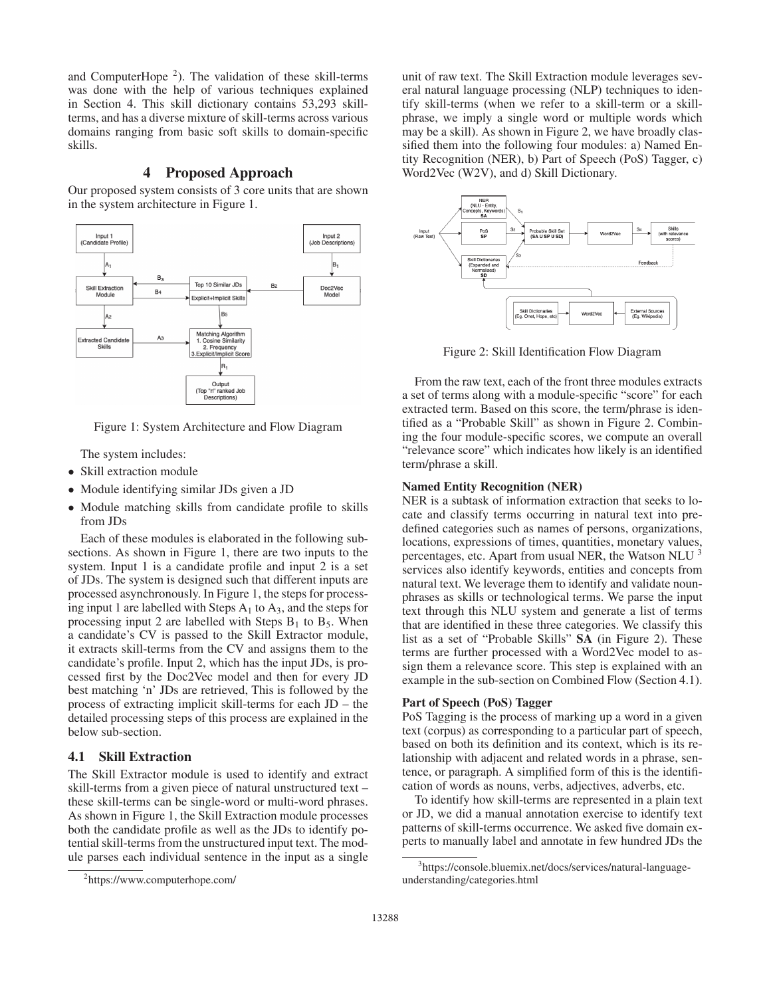and ComputerHope  $2$ ). The validation of these skill-terms was done with the help of various techniques explained in Section 4. This skill dictionary contains 53,293 skillterms, and has a diverse mixture of skill-terms across various domains ranging from basic soft skills to domain-specific skills.

### 4 Proposed Approach

Our proposed system consists of 3 core units that are shown in the system architecture in Figure 1.



Figure 1: System Architecture and Flow Diagram

The system includes:

- Skill extraction module
- Module identifying similar JDs given a JD
- Module matching skills from candidate profile to skills from JDs

Each of these modules is elaborated in the following subsections. As shown in Figure 1, there are two inputs to the system. Input 1 is a candidate profile and input 2 is a set of JDs. The system is designed such that different inputs are processed asynchronously. In Figure 1, the steps for processing input 1 are labelled with Steps  $A_1$  to  $A_3$ , and the steps for processing input 2 are labelled with Steps  $B_1$  to  $B_5$ . When a candidate's CV is passed to the Skill Extractor module, it extracts skill-terms from the CV and assigns them to the candidate's profile. Input 2, which has the input JDs, is processed first by the Doc2Vec model and then for every JD best matching 'n' JDs are retrieved, This is followed by the process of extracting implicit skill-terms for each JD – the detailed processing steps of this process are explained in the below sub-section.

### 4.1 Skill Extraction

The Skill Extractor module is used to identify and extract skill-terms from a given piece of natural unstructured text – these skill-terms can be single-word or multi-word phrases. As shown in Figure 1, the Skill Extraction module processes both the candidate profile as well as the JDs to identify potential skill-terms from the unstructured input text. The module parses each individual sentence in the input as a single

unit of raw text. The Skill Extraction module leverages several natural language processing (NLP) techniques to identify skill-terms (when we refer to a skill-term or a skillphrase, we imply a single word or multiple words which may be a skill). As shown in Figure 2, we have broadly classified them into the following four modules: a) Named Entity Recognition (NER), b) Part of Speech (PoS) Tagger, c) Word2Vec (W2V), and d) Skill Dictionary.



Figure 2: Skill Identification Flow Diagram

From the raw text, each of the front three modules extracts a set of terms along with a module-specific "score" for each extracted term. Based on this score, the term/phrase is identified as a "Probable Skill" as shown in Figure 2. Combining the four module-specific scores, we compute an overall "relevance score" which indicates how likely is an identified term/phrase a skill.

### Named Entity Recognition (NER)

NER is a subtask of information extraction that seeks to locate and classify terms occurring in natural text into predefined categories such as names of persons, organizations, locations, expressions of times, quantities, monetary values, percentages, etc. Apart from usual NER, the Watson NLU <sup>3</sup> services also identify keywords, entities and concepts from natural text. We leverage them to identify and validate nounphrases as skills or technological terms. We parse the input text through this NLU system and generate a list of terms that are identified in these three categories. We classify this list as a set of "Probable Skills" SA (in Figure 2). These terms are further processed with a Word2Vec model to assign them a relevance score. This step is explained with an example in the sub-section on Combined Flow (Section 4.1).

### Part of Speech (PoS) Tagger

PoS Tagging is the process of marking up a word in a given text (corpus) as corresponding to a particular part of speech, based on both its definition and its context, which is its relationship with adjacent and related words in a phrase, sentence, or paragraph. A simplified form of this is the identification of words as nouns, verbs, adjectives, adverbs, etc.

To identify how skill-terms are represented in a plain text or JD, we did a manual annotation exercise to identify text patterns of skill-terms occurrence. We asked five domain experts to manually label and annotate in few hundred JDs the

<sup>2</sup> https://www.computerhope.com/

<sup>3</sup> https://console.bluemix.net/docs/services/natural-languageunderstanding/categories.html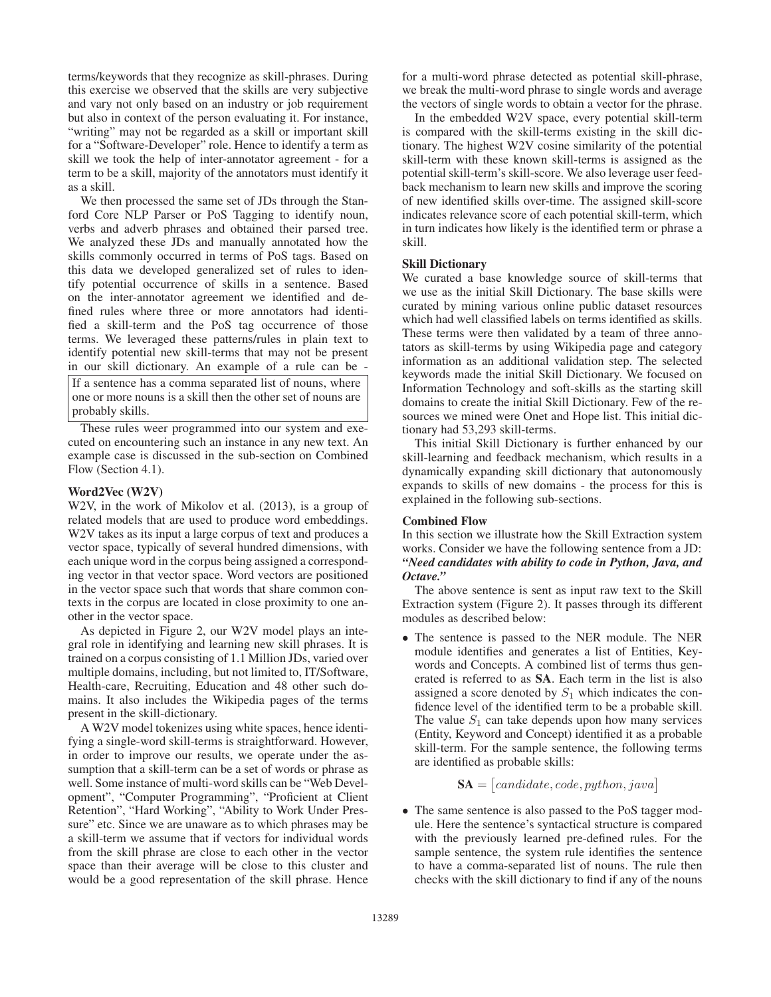terms/keywords that they recognize as skill-phrases. During this exercise we observed that the skills are very subjective and vary not only based on an industry or job requirement but also in context of the person evaluating it. For instance, "writing" may not be regarded as a skill or important skill for a "Software-Developer" role. Hence to identify a term as skill we took the help of inter-annotator agreement - for a term to be a skill, majority of the annotators must identify it as a skill.

We then processed the same set of JDs through the Stanford Core NLP Parser or PoS Tagging to identify noun, verbs and adverb phrases and obtained their parsed tree. We analyzed these JDs and manually annotated how the skills commonly occurred in terms of PoS tags. Based on this data we developed generalized set of rules to identify potential occurrence of skills in a sentence. Based on the inter-annotator agreement we identified and defined rules where three or more annotators had identified a skill-term and the PoS tag occurrence of those terms. We leveraged these patterns/rules in plain text to identify potential new skill-terms that may not be present in our skill dictionary. An example of a rule can be -

If a sentence has a comma separated list of nouns, where one or more nouns is a skill then the other set of nouns are probably skills.

These rules weer programmed into our system and executed on encountering such an instance in any new text. An example case is discussed in the sub-section on Combined Flow (Section 4.1).

#### Word2Vec (W2V)

W2V, in the work of Mikolov et al. (2013), is a group of related models that are used to produce word embeddings. W2V takes as its input a large corpus of text and produces a vector space, typically of several hundred dimensions, with each unique word in the corpus being assigned a corresponding vector in that vector space. Word vectors are positioned in the vector space such that words that share common contexts in the corpus are located in close proximity to one another in the vector space.

As depicted in Figure 2, our W2V model plays an integral role in identifying and learning new skill phrases. It is trained on a corpus consisting of 1.1 Million JDs, varied over multiple domains, including, but not limited to, IT/Software, Health-care, Recruiting, Education and 48 other such domains. It also includes the Wikipedia pages of the terms present in the skill-dictionary.

A W2V model tokenizes using white spaces, hence identifying a single-word skill-terms is straightforward. However, in order to improve our results, we operate under the assumption that a skill-term can be a set of words or phrase as well. Some instance of multi-word skills can be "Web Development", "Computer Programming", "Proficient at Client Retention", "Hard Working", "Ability to Work Under Pressure" etc. Since we are unaware as to which phrases may be a skill-term we assume that if vectors for individual words from the skill phrase are close to each other in the vector space than their average will be close to this cluster and would be a good representation of the skill phrase. Hence

for a multi-word phrase detected as potential skill-phrase, we break the multi-word phrase to single words and average the vectors of single words to obtain a vector for the phrase.

In the embedded W2V space, every potential skill-term is compared with the skill-terms existing in the skill dictionary. The highest W2V cosine similarity of the potential skill-term with these known skill-terms is assigned as the potential skill-term's skill-score. We also leverage user feedback mechanism to learn new skills and improve the scoring of new identified skills over-time. The assigned skill-score indicates relevance score of each potential skill-term, which in turn indicates how likely is the identified term or phrase a skill.

#### Skill Dictionary

We curated a base knowledge source of skill-terms that we use as the initial Skill Dictionary. The base skills were curated by mining various online public dataset resources which had well classified labels on terms identified as skills. These terms were then validated by a team of three annotators as skill-terms by using Wikipedia page and category information as an additional validation step. The selected keywords made the initial Skill Dictionary. We focused on Information Technology and soft-skills as the starting skill domains to create the initial Skill Dictionary. Few of the resources we mined were Onet and Hope list. This initial dictionary had 53,293 skill-terms.

This initial Skill Dictionary is further enhanced by our skill-learning and feedback mechanism, which results in a dynamically expanding skill dictionary that autonomously expands to skills of new domains - the process for this is explained in the following sub-sections.

#### Combined Flow

In this section we illustrate how the Skill Extraction system works. Consider we have the following sentence from a JD: *"Need candidates with ability to code in Python, Java, and Octave."*

The above sentence is sent as input raw text to the Skill Extraction system (Figure 2). It passes through its different modules as described below:

• The sentence is passed to the NER module. The NER module identifies and generates a list of Entities, Keywords and Concepts. A combined list of terms thus generated is referred to as SA. Each term in the list is also assigned a score denoted by  $S_1$  which indicates the confidence level of the identified term to be a probable skill. The value  $S_1$  can take depends upon how many services (Entity, Keyword and Concept) identified it as a probable skill-term. For the sample sentence, the following terms are identified as probable skills:

$$
SA = [candidate, code, python, java]
$$

• The same sentence is also passed to the PoS tagger module. Here the sentence's syntactical structure is compared with the previously learned pre-defined rules. For the sample sentence, the system rule identifies the sentence to have a comma-separated list of nouns. The rule then checks with the skill dictionary to find if any of the nouns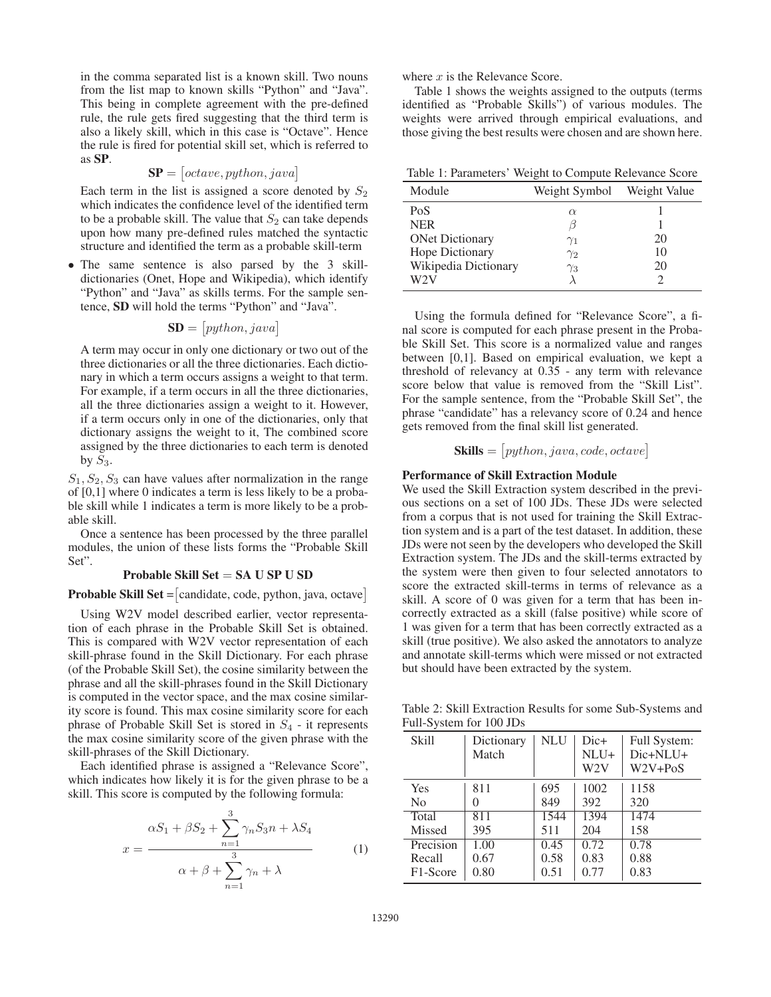in the comma separated list is a known skill. Two nouns from the list map to known skills "Python" and "Java". This being in complete agreement with the pre-defined rule, the rule gets fired suggesting that the third term is also a likely skill, which in this case is "Octave". Hence the rule is fired for potential skill set, which is referred to as SP.

## $SP = [octave, python, java]$

Each term in the list is assigned a score denoted by  $S_2$ which indicates the confidence level of the identified term to be a probable skill. The value that  $S_2$  can take depends upon how many pre-defined rules matched the syntactic structure and identified the term as a probable skill-term

• The same sentence is also parsed by the 3 skilldictionaries (Onet, Hope and Wikipedia), which identify "Python" and "Java" as skills terms. For the sample sentence, SD will hold the terms "Python" and "Java".

$$
SD = [python, java]
$$

A term may occur in only one dictionary or two out of the three dictionaries or all the three dictionaries. Each dictionary in which a term occurs assigns a weight to that term. For example, if a term occurs in all the three dictionaries, all the three dictionaries assign a weight to it. However, if a term occurs only in one of the dictionaries, only that dictionary assigns the weight to it, The combined score assigned by the three dictionaries to each term is denoted by  $S_3$ .

 $S_1, S_2, S_3$  can have values after normalization in the range of [0,1] where 0 indicates a term is less likely to be a probable skill while 1 indicates a term is more likely to be a probable skill.

Once a sentence has been processed by the three parallel modules, the union of these lists forms the "Probable Skill Set".

#### Probable Skill Set = SA U SP U SD

**Probable Skill Set** =  $[$ candidate, code, python, java, octave $]$ 

Using W2V model described earlier, vector representation of each phrase in the Probable Skill Set is obtained. This is compared with W2V vector representation of each skill-phrase found in the Skill Dictionary. For each phrase (of the Probable Skill Set), the cosine similarity between the phrase and all the skill-phrases found in the Skill Dictionary is computed in the vector space, and the max cosine similarity score is found. This max cosine similarity score for each phrase of Probable Skill Set is stored in  $S_4$  - it represents the max cosine similarity score of the given phrase with the skill-phrases of the Skill Dictionary.

Each identified phrase is assigned a "Relevance Score", which indicates how likely it is for the given phrase to be a skill. This score is computed by the following formula:

$$
x = \frac{\alpha S_1 + \beta S_2 + \sum_{n=1}^{3} \gamma_n S_3 n + \lambda S_4}{\alpha + \beta + \sum_{n=1}^{3} \gamma_n + \lambda}
$$
 (1)

where  $x$  is the Relevance Score.

Table 1 shows the weights assigned to the outputs (terms identified as "Probable Skills") of various modules. The weights were arrived through empirical evaluations, and those giving the best results were chosen and are shown here.

Table 1: Parameters' Weight to Compute Relevance Score

| Module                 | Weight Symbol | Weight Value |
|------------------------|---------------|--------------|
| PoS                    | $\alpha$      |              |
| <b>NER</b>             | ß             |              |
| <b>ONet Dictionary</b> | $\gamma_1$    | 20           |
| Hope Dictionary        | $\gamma_2$    | 10           |
| Wikipedia Dictionary   | $\gamma_3$    | 20           |
| W2V                    |               |              |
|                        |               |              |

Using the formula defined for "Relevance Score", a final score is computed for each phrase present in the Probable Skill Set. This score is a normalized value and ranges between [0,1]. Based on empirical evaluation, we kept a threshold of relevancy at 0.35 - any term with relevance score below that value is removed from the "Skill List". For the sample sentence, from the "Probable Skill Set", the phrase "candidate" has a relevancy score of 0.24 and hence gets removed from the final skill list generated.

$$
Skills = [python, java, code, octave]
$$

#### Performance of Skill Extraction Module

We used the Skill Extraction system described in the previous sections on a set of 100 JDs. These JDs were selected from a corpus that is not used for training the Skill Extraction system and is a part of the test dataset. In addition, these JDs were not seen by the developers who developed the Skill Extraction system. The JDs and the skill-terms extracted by the system were then given to four selected annotators to score the extracted skill-terms in terms of relevance as a skill. A score of 0 was given for a term that has been incorrectly extracted as a skill (false positive) while score of 1 was given for a term that has been correctly extracted as a skill (true positive). We also asked the annotators to analyze and annotate skill-terms which were missed or not extracted but should have been extracted by the system.

Table 2: Skill Extraction Results for some Sub-Systems and Full-System for 100 JDs

| <b>Skill</b>          | Dictionary<br>Match | <b>NLU</b> | $Dic+$<br>$NLU+$<br>W <sub>2</sub> V | Full System:<br>$Dic+NLI+$<br>$W2V + PoS$ |
|-----------------------|---------------------|------------|--------------------------------------|-------------------------------------------|
| Yes                   | 811                 | 695        | 1002                                 | 1158                                      |
| N <sub>0</sub>        |                     | 849        | 392                                  | 320                                       |
| Total                 | 811                 | 1544       | 1394                                 | 1474                                      |
| Missed                | 395                 | 511        | 204                                  | 158                                       |
| Precision             | 1.00                | 0.45       | 0.72                                 | 0.78                                      |
| Recall                | 0.67                | 0.58       | 0.83                                 | 0.88                                      |
| F <sub>1</sub> -Score | 0.80                | 0.51       | 0.77                                 | 0.83                                      |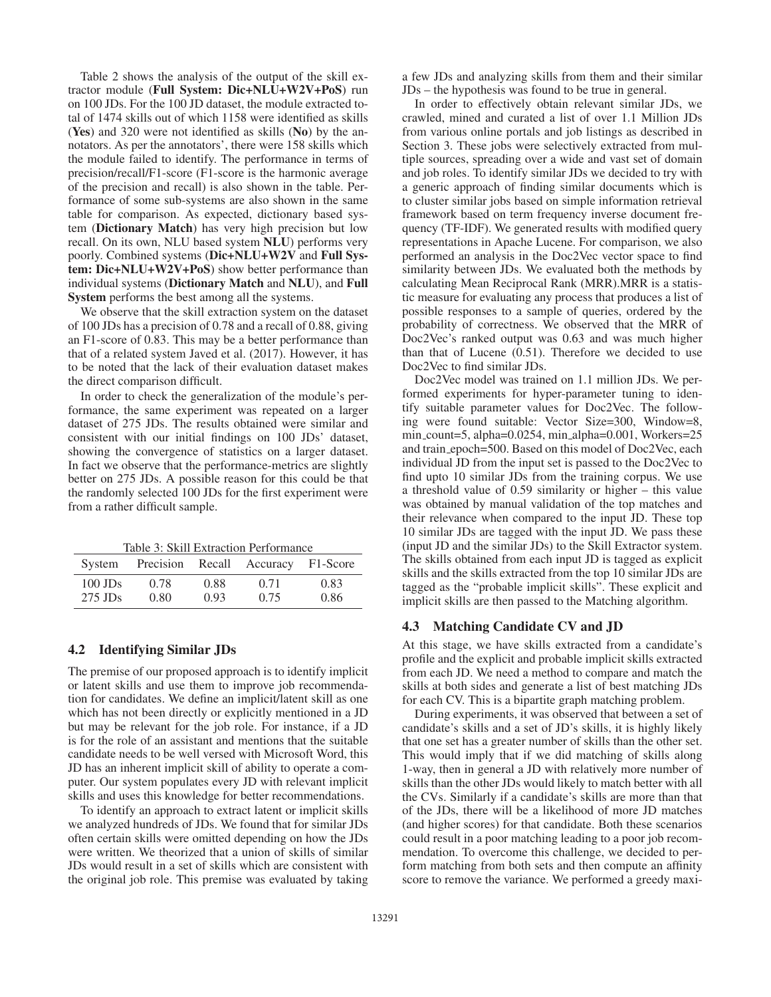Table 2 shows the analysis of the output of the skill extractor module (Full System: Dic+NLU+W2V+PoS) run on 100 JDs. For the 100 JD dataset, the module extracted total of 1474 skills out of which 1158 were identified as skills (Yes) and 320 were not identified as skills (No) by the annotators. As per the annotators', there were 158 skills which the module failed to identify. The performance in terms of precision/recall/F1-score (F1-score is the harmonic average of the precision and recall) is also shown in the table. Performance of some sub-systems are also shown in the same table for comparison. As expected, dictionary based system (Dictionary Match) has very high precision but low recall. On its own, NLU based system NLU) performs very poorly. Combined systems (Dic+NLU+W2V and Full System: Dic+NLU+W2V+PoS) show better performance than individual systems (Dictionary Match and NLU), and Full System performs the best among all the systems.

We observe that the skill extraction system on the dataset of 100 JDs has a precision of 0.78 and a recall of 0.88, giving an F1-score of 0.83. This may be a better performance than that of a related system Javed et al. (2017). However, it has to be noted that the lack of their evaluation dataset makes the direct comparison difficult.

In order to check the generalization of the module's performance, the same experiment was repeated on a larger dataset of 275 JDs. The results obtained were similar and consistent with our initial findings on 100 JDs' dataset, showing the convergence of statistics on a larger dataset. In fact we observe that the performance-metrics are slightly better on 275 JDs. A possible reason for this could be that the randomly selected 100 JDs for the first experiment were from a rather difficult sample.

| Table 3: Skill Extraction Performance |      |      |                                    |      |
|---------------------------------------|------|------|------------------------------------|------|
| System                                |      |      | Precision Recall Accuracy F1-Score |      |
| $100$ JDs                             | 0.78 | 0.88 | 0.71                               | 0.83 |
| $275$ JDs                             | 0.80 | 0.93 | 0.75                               | 0.86 |

### 4.2 Identifying Similar JDs

The premise of our proposed approach is to identify implicit or latent skills and use them to improve job recommendation for candidates. We define an implicit/latent skill as one which has not been directly or explicitly mentioned in a JD but may be relevant for the job role. For instance, if a JD is for the role of an assistant and mentions that the suitable candidate needs to be well versed with Microsoft Word, this JD has an inherent implicit skill of ability to operate a computer. Our system populates every JD with relevant implicit skills and uses this knowledge for better recommendations.

To identify an approach to extract latent or implicit skills we analyzed hundreds of JDs. We found that for similar JDs often certain skills were omitted depending on how the JDs were written. We theorized that a union of skills of similar JDs would result in a set of skills which are consistent with the original job role. This premise was evaluated by taking

a few JDs and analyzing skills from them and their similar JDs – the hypothesis was found to be true in general.

In order to effectively obtain relevant similar JDs, we crawled, mined and curated a list of over 1.1 Million JDs from various online portals and job listings as described in Section 3. These jobs were selectively extracted from multiple sources, spreading over a wide and vast set of domain and job roles. To identify similar JDs we decided to try with a generic approach of finding similar documents which is to cluster similar jobs based on simple information retrieval framework based on term frequency inverse document frequency (TF-IDF). We generated results with modified query representations in Apache Lucene. For comparison, we also performed an analysis in the Doc2Vec vector space to find similarity between JDs. We evaluated both the methods by calculating Mean Reciprocal Rank (MRR).MRR is a statistic measure for evaluating any process that produces a list of possible responses to a sample of queries, ordered by the probability of correctness. We observed that the MRR of Doc2Vec's ranked output was 0.63 and was much higher than that of Lucene (0.51). Therefore we decided to use Doc2Vec to find similar JDs.

Doc2Vec model was trained on 1.1 million JDs. We performed experiments for hyper-parameter tuning to identify suitable parameter values for Doc2Vec. The following were found suitable: Vector Size=300, Window=8, min count=5, alpha=0.0254, min alpha=0.001, Workers=25 and train epoch=500. Based on this model of Doc2Vec, each individual JD from the input set is passed to the Doc2Vec to find upto 10 similar JDs from the training corpus. We use a threshold value of 0.59 similarity or higher – this value was obtained by manual validation of the top matches and their relevance when compared to the input JD. These top 10 similar JDs are tagged with the input JD. We pass these (input JD and the similar JDs) to the Skill Extractor system. The skills obtained from each input JD is tagged as explicit skills and the skills extracted from the top 10 similar JDs are tagged as the "probable implicit skills". These explicit and implicit skills are then passed to the Matching algorithm.

### 4.3 Matching Candidate CV and JD

At this stage, we have skills extracted from a candidate's profile and the explicit and probable implicit skills extracted from each JD. We need a method to compare and match the skills at both sides and generate a list of best matching JDs for each CV. This is a bipartite graph matching problem.

During experiments, it was observed that between a set of candidate's skills and a set of JD's skills, it is highly likely that one set has a greater number of skills than the other set. This would imply that if we did matching of skills along 1-way, then in general a JD with relatively more number of skills than the other JDs would likely to match better with all the CVs. Similarly if a candidate's skills are more than that of the JDs, there will be a likelihood of more JD matches (and higher scores) for that candidate. Both these scenarios could result in a poor matching leading to a poor job recommendation. To overcome this challenge, we decided to perform matching from both sets and then compute an affinity score to remove the variance. We performed a greedy maxi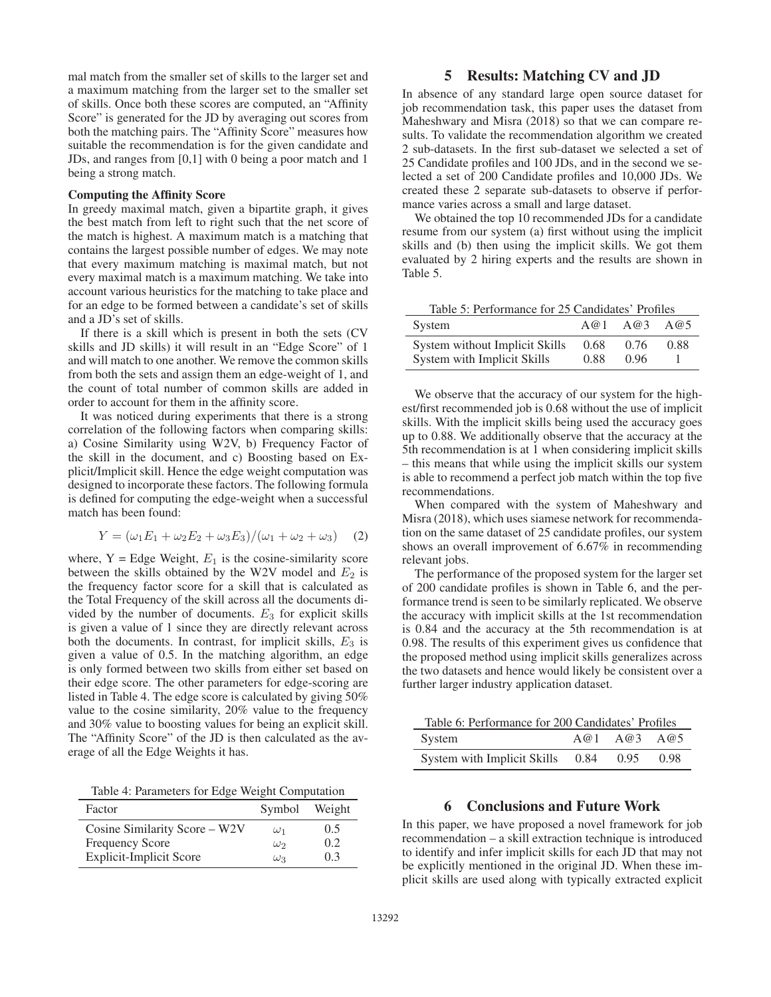mal match from the smaller set of skills to the larger set and a maximum matching from the larger set to the smaller set of skills. Once both these scores are computed, an "Affinity Score" is generated for the JD by averaging out scores from both the matching pairs. The "Affinity Score" measures how suitable the recommendation is for the given candidate and JDs, and ranges from [0,1] with 0 being a poor match and 1 being a strong match.

#### Computing the Affinity Score

In greedy maximal match, given a bipartite graph, it gives the best match from left to right such that the net score of the match is highest. A maximum match is a matching that contains the largest possible number of edges. We may note that every maximum matching is maximal match, but not every maximal match is a maximum matching. We take into account various heuristics for the matching to take place and for an edge to be formed between a candidate's set of skills and a JD's set of skills.

If there is a skill which is present in both the sets (CV skills and JD skills) it will result in an "Edge Score" of 1 and will match to one another. We remove the common skills from both the sets and assign them an edge-weight of 1, and the count of total number of common skills are added in order to account for them in the affinity score.

It was noticed during experiments that there is a strong correlation of the following factors when comparing skills: a) Cosine Similarity using W2V, b) Frequency Factor of the skill in the document, and c) Boosting based on Explicit/Implicit skill. Hence the edge weight computation was designed to incorporate these factors. The following formula is defined for computing the edge-weight when a successful match has been found:

$$
Y = (\omega_1 E_1 + \omega_2 E_2 + \omega_3 E_3) / (\omega_1 + \omega_2 + \omega_3)
$$
 (2)

where,  $Y = Edge Weight, E_1$  is the cosine-similarity score between the skills obtained by the W2V model and  $E_2$  is the frequency factor score for a skill that is calculated as the Total Frequency of the skill across all the documents divided by the number of documents.  $E_3$  for explicit skills is given a value of 1 since they are directly relevant across both the documents. In contrast, for implicit skills,  $E_3$  is given a value of 0.5. In the matching algorithm, an edge is only formed between two skills from either set based on their edge score. The other parameters for edge-scoring are listed in Table 4. The edge score is calculated by giving 50% value to the cosine similarity, 20% value to the frequency and 30% value to boosting values for being an explicit skill. The "Affinity Score" of the JD is then calculated as the average of all the Edge Weights it has.

Table 4: Parameters for Edge Weight Computation

| Factor                         | Symbol     | Weight |
|--------------------------------|------------|--------|
| Cosine Similarity Score – W2V  | $\omega_1$ | 0.5    |
| <b>Frequency Score</b>         | $\omega_2$ | 0.2    |
| <b>Explicit-Implicit Score</b> | $\omega_3$ | 0.3    |

### 5 Results: Matching CV and JD

In absence of any standard large open source dataset for job recommendation task, this paper uses the dataset from Maheshwary and Misra (2018) so that we can compare results. To validate the recommendation algorithm we created 2 sub-datasets. In the first sub-dataset we selected a set of 25 Candidate profiles and 100 JDs, and in the second we selected a set of 200 Candidate profiles and 10,000 JDs. We created these 2 separate sub-datasets to observe if performance varies across a small and large dataset.

We obtained the top 10 recommended JDs for a candidate resume from our system (a) first without using the implicit skills and (b) then using the implicit skills. We got them evaluated by 2 hiring experts and the results are shown in Table 5.

|--|

| System                         | A@1  | A $@3$ | A $\omega$ 5 |
|--------------------------------|------|--------|--------------|
| System without Implicit Skills | 0.68 | 0.76   | 0.88         |
| System with Implicit Skills    | 0.88 | 0.96   |              |

We observe that the accuracy of our system for the highest/first recommended job is 0.68 without the use of implicit skills. With the implicit skills being used the accuracy goes up to 0.88. We additionally observe that the accuracy at the 5th recommendation is at 1 when considering implicit skills – this means that while using the implicit skills our system is able to recommend a perfect job match within the top five recommendations.

When compared with the system of Maheshwary and Misra (2018), which uses siamese network for recommendation on the same dataset of 25 candidate profiles, our system shows an overall improvement of 6.67% in recommending relevant jobs.

The performance of the proposed system for the larger set of 200 candidate profiles is shown in Table 6, and the performance trend is seen to be similarly replicated. We observe the accuracy with implicit skills at the 1st recommendation is 0.84 and the accuracy at the 5th recommendation is at 0.98. The results of this experiment gives us confidence that the proposed method using implicit skills generalizes across the two datasets and hence would likely be consistent over a further larger industry application dataset.

| Table 6: Performance for 200 Candidates' Profiles |  |                           |      |  |
|---------------------------------------------------|--|---------------------------|------|--|
| System                                            |  | $A@1 \quad A@3 \quad A@5$ |      |  |
| System with Implicit Skills 0.84                  |  | 0.95                      | 0.98 |  |

### 6 Conclusions and Future Work

In this paper, we have proposed a novel framework for job recommendation – a skill extraction technique is introduced to identify and infer implicit skills for each JD that may not be explicitly mentioned in the original JD. When these implicit skills are used along with typically extracted explicit